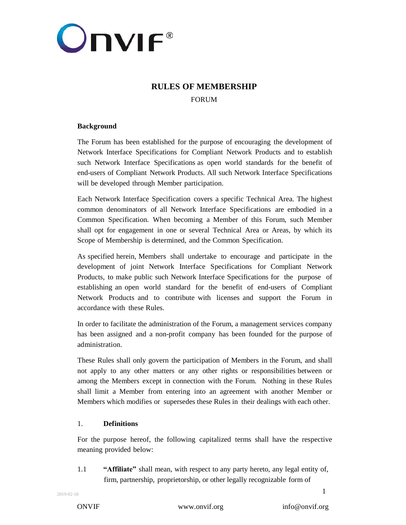

# **RULES OF MEMBERSHIP**

FORUM

## **Background**

The Forum has been established for the purpose of encouraging the development of Network Interface Specifications for Compliant Network Products and to establish such Network Interface Specifications as open world standards for the benefit of end-users of Compliant Network Products. All such Network Interface Specifications will be developed through Member participation.

Each Network Interface Specification covers a specific Technical Area. The highest common denominators of all Network Interface Specifications are embodied in a Common Specification. When becoming a Member of this Forum, such Member shall opt for engagement in one or several Technical Area or Areas, by which its Scope of Membership is determined, and the Common Specification.

As specified herein, Members shall undertake to encourage and participate in the development of joint Network Interface Specifications for Compliant Network Products, to make public such Network Interface Specifications for the purpose of establishing an open world standard for the benefit of end-users of Compliant Network Products and to contribute with licenses and support the Forum in accordance with these Rules.

In order to facilitate the administration of the Forum, a management services company has been assigned and a non-profit company has been founded for the purpose of administration.

These Rules shall only govern the participation of Members in the Forum, and shall not apply to any other matters or any other rights or responsibilities between or among the Members except in connection with the Forum. Nothing in these Rules shall limit a Member from entering into an agreement with another Member or Members which modifies or supersedes these Rules in their dealings with each other.

## 1. **Definitions**

For the purpose hereof, the following capitalized terms shall have the respective meaning provided below:

1.1 **"Affiliate"** shall mean, with respect to any party hereto, any legal entity of, firm, partnership, proprietorship, or other legally recognizable form of

ONVIF [www.onvif.org](http://www.onvif.org/) [info@onvif.org](mailto:info@onvif.org)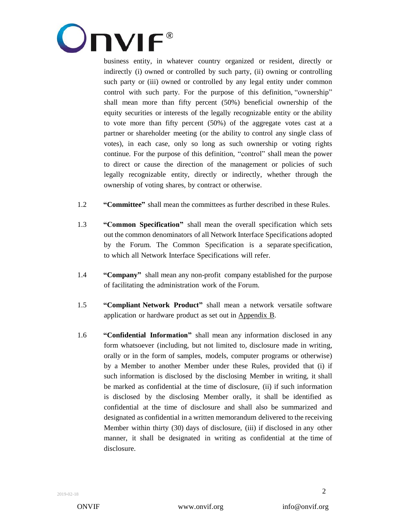

business entity, in whatever country organized or resident, directly or indirectly (i) owned or controlled by such party, (ii) owning or controlling such party or (iii) owned or controlled by any legal entity under common control with such party. For the purpose of this definition, "ownership" shall mean more than fifty percent (50%) beneficial ownership of the equity securities or interests of the legally recognizable entity or the ability to vote more than fifty percent (50%) of the aggregate votes cast at a partner or shareholder meeting (or the ability to control any single class of votes), in each case, only so long as such ownership or voting rights continue. For the purpose of this definition, "control" shall mean the power to direct or cause the direction of the management or policies of such legally recognizable entity, directly or indirectly, whether through the ownership of voting shares, by contract or otherwise.

- 1.2 **"Committee"** shall mean the committees as further described in these Rules.
- 1.3 **"Common Specification"** shall mean the overall specification which sets out the common denominators of all Network Interface Specifications adopted by the Forum. The Common Specification is a separate specification, to which all Network Interface Specifications will refer.
- 1.4 **"Company"** shall mean any non-profit company established for the purpose of facilitating the administration work of the Forum.
- 1.5 **"Compliant Network Product"** shall mean a network versatile software application or hardware product as set out in Appendix B.
- 1.6 **"Confidential Information"** shall mean any information disclosed in any form whatsoever (including, but not limited to, disclosure made in writing, orally or in the form of samples, models, computer programs or otherwise) by a Member to another Member under these Rules, provided that (i) if such information is disclosed by the disclosing Member in writing, it shall be marked as confidential at the time of disclosure, (ii) if such information is disclosed by the disclosing Member orally, it shall be identified as confidential at the time of disclosure and shall also be summarized and designated as confidential in a written memorandum delivered to the receiving Member within thirty (30) days of disclosure, (iii) if disclosed in any other manner, it shall be designated in writing as confidential at the time of disclosure.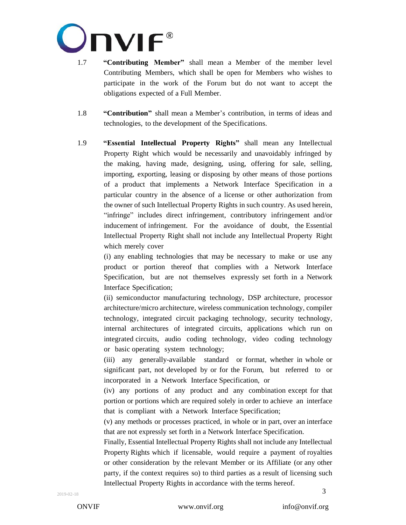

- 1.7 **"Contributing Member"** shall mean a Member of the member level Contributing Members, which shall be open for Members who wishes to participate in the work of the Forum but do not want to accept the obligations expected of a Full Member.
- 1.8 **"Contribution"** shall mean a Member's contribution, in terms of ideas and technologies, to the development of the Specifications.
- 1.9 **"Essential Intellectual Property Rights"** shall mean any Intellectual Property Right which would be necessarily and unavoidably infringed by the making, having made, designing, using, offering for sale, selling, importing, exporting, leasing or disposing by other means of those portions of a product that implements a Network Interface Specification in a particular country in the absence of a license or other authorization from the owner of such Intellectual Property Rights in such country. As used herein, "infringe" includes direct infringement, contributory infringement and/or inducement of infringement. For the avoidance of doubt, the Essential Intellectual Property Right shall not include any Intellectual Property Right which merely cover

(i) any enabling technologies that may be necessary to make or use any product or portion thereof that complies with a Network Interface Specification, but are not themselves expressly set forth in a Network Interface Specification;

(ii) semiconductor manufacturing technology, DSP architecture, processor architecture/micro architecture, wireless communication technology, compiler technology, integrated circuit packaging technology, security technology, internal architectures of integrated circuits, applications which run on integrated circuits, audio coding technology, video coding technology or basic operating system technology;

(iii) any generally-available standard or format, whether in whole or significant part, not developed by or for the Forum, but referred to or incorporated in a Network Interface Specification, or

(iv) any portions of any product and any combination except for that portion or portions which are required solely in order to achieve an interface that is compliant with a Network Interface Specification;

(v) any methods or processes practiced, in whole or in part, over an interface that are not expressly set forth in a Network Interface Specification.

3 Finally, Essential Intellectual Property Rights shall not include any Intellectual Property Rights which if licensable, would require a payment of royalties or other consideration by the relevant Member or its Affiliate (or any other party, if the context requires so) to third parties as a result of licensing such Intellectual Property Rights in accordance with the terms hereof.

ONVIF [www.onvif.org](http://www.onvif.org/) [info@onvif.org](mailto:info@onvif.org)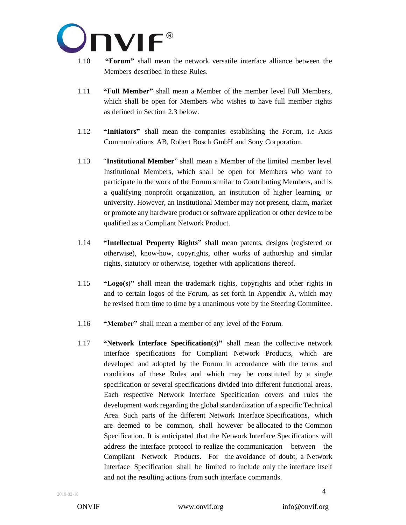

- 1.10 **"Forum"** shall mean the network versatile interface alliance between the Members described in these Rules.
- 1.11 **"Full Member"** shall mean a Member of the member level Full Members, which shall be open for Members who wishes to have full member rights as defined in Section 2.3 below.
- 1.12 **"Initiators"** shall mean the companies establishing the Forum, i.e Axis Communications AB, Robert Bosch GmbH and Sony Corporation.
- 1.13 "**Institutional Member**" shall mean a Member of the limited member level Institutional Members, which shall be open for Members who want to participate in the work of the Forum similar to Contributing Members, and is a qualifying nonprofit organization, an institution of higher learning, or university. However, an Institutional Member may not present, claim, market or promote any hardware product or software application or other device to be qualified as a Compliant Network Product.
- 1.14 **"Intellectual Property Rights"** shall mean patents, designs (registered or otherwise), know-how, copyrights, other works of authorship and similar rights, statutory or otherwise, together with applications thereof.
- 1.15 **"Logo(s)"** shall mean the trademark rights, copyrights and other rights in and to certain logos of the Forum, as set forth in Appendix A, which may be revised from time to time by a unanimous vote by the Steering Committee.
- 1.16 **"Member"** shall mean a member of any level of the Forum.
- 1.17 **"Network Interface Specification(s)"** shall mean the collective network interface specifications for Compliant Network Products, which are developed and adopted by the Forum in accordance with the terms and conditions of these Rules and which may be constituted by a single specification or several specifications divided into different functional areas. Each respective Network Interface Specification covers and rules the development work regarding the global standardization of a specific Technical Area. Such parts of the different Network Interface Specifications, which are deemed to be common, shall however be allocated to the Common Specification. It is anticipated that the Network Interface Specifications will address the interface protocol to realize the communication between the Compliant Network Products. For the avoidance of doubt, a Network Interface Specification shall be limited to include only the interface itself and not the resulting actions from such interface commands.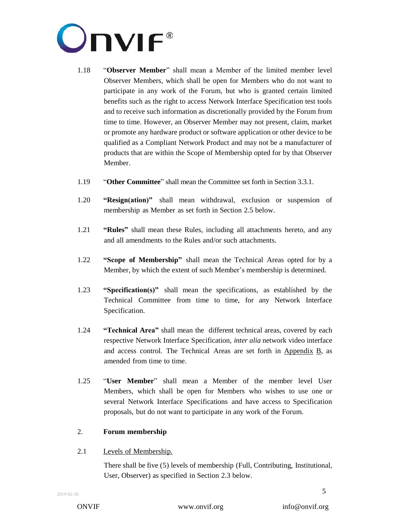

- 1.18 "**Observer Member**" shall mean a Member of the limited member level Observer Members, which shall be open for Members who do not want to participate in any work of the Forum, but who is granted certain limited benefits such as the right to access Network Interface Specification test tools and to receive such information as discretionally provided by the Forum from time to time. However, an Observer Member may not present, claim, market or promote any hardware product or software application or other device to be qualified as a Compliant Network Product and may not be a manufacturer of products that are within the Scope of Membership opted for by that Observer Member.
- 1.19 "**Other Committee**" shall mean the Committee set forth in Section 3.3.1.
- 1.20 **"Resign(ation)"** shall mean withdrawal, exclusion or suspension of membership as Member as set forth in Section 2.5 below.
- 1.21 **"Rules"** shall mean these Rules, including all attachments hereto, and any and all amendments to the Rules and/or such attachments.
- 1.22 **"Scope of Membership"** shall mean the Technical Areas opted for by a Member, by which the extent of such Member's membership is determined.
- 1.23 **"Specification(s)"** shall mean the specifications, as established by the Technical Committee from time to time, for any Network Interface Specification.
- 1.24 **"Technical Area"** shall mean the different technical areas, covered by each respective Network Interface Specification, *inter alia* network video interface and access control. The Technical Areas are set forth in Appendix B, as amended from time to time.
- 1.25 "**User Member**" shall mean a Member of the member level User Members, which shall be open for Members who wishes to use one or several Network Interface Specifications and have access to Specification proposals, but do not want to participate in any work of the Forum.

## 2. **Forum membership**

## 2.1 Levels of Membership.

There shall be five (5) levels of membership (Full, Contributing, Institutional, User, Observer) as specified in Section 2.3 below.

ONVIF [www.onvif.org](http://www.onvif.org/) [info@onvif.org](mailto:info@onvif.org)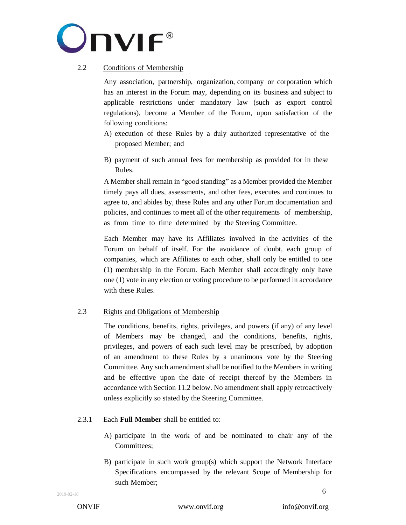

# 2.2 Conditions of Membership

Any association, partnership, organization, company or corporation which has an interest in the Forum may, depending on its business and subject to applicable restrictions under mandatory law (such as export control regulations), become a Member of the Forum, upon satisfaction of the following conditions:

- A) execution of these Rules by a duly authorized representative of the proposed Member; and
- B) payment of such annual fees for membership as provided for in these Rules.

A Member shall remain in "good standing" as a Member provided the Member timely pays all dues, assessments, and other fees, executes and continues to agree to, and abides by, these Rules and any other Forum documentation and policies, and continues to meet all of the other requirements of membership, as from time to time determined by the Steering Committee.

Each Member may have its Affiliates involved in the activities of the Forum on behalf of itself. For the avoidance of doubt, each group of companies, which are Affiliates to each other, shall only be entitled to one (1) membership in the Forum. Each Member shall accordingly only have one (1) vote in any election or voting procedure to be performed in accordance with these Rules.

# 2.3 Rights and Obligations of Membership

The conditions, benefits, rights, privileges, and powers (if any) of any level of Members may be changed, and the conditions, benefits, rights, privileges, and powers of each such level may be prescribed, by adoption of an amendment to these Rules by a unanimous vote by the Steering Committee. Any such amendment shall be notified to the Members in writing and be effective upon the date of receipt thereof by the Members in accordance with Section [11.2](#page-27-0) below. No amendment shall apply retroactively unless explicitly so stated by the Steering Committee.

## 2.3.1 Each **Full Member** shall be entitled to:

- A) participate in the work of and be nominated to chair any of the Committees;
- B) participate in such work group(s) which support the Network Interface Specifications encompassed by the relevant Scope of Membership for such Member;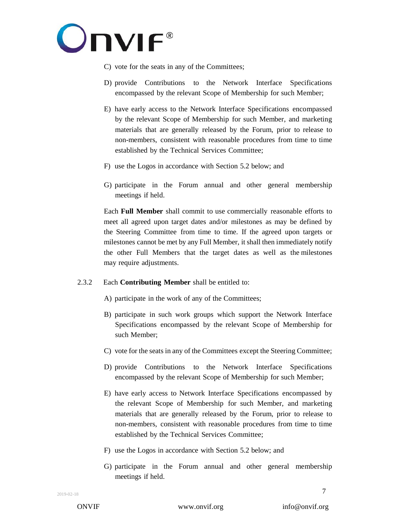

- C) vote for the seats in any of the Committees;
- D) provide Contributions to the Network Interface Specifications encompassed by the relevant Scope of Membership for such Member;
- E) have early access to the Network Interface Specifications encompassed by the relevant Scope of Membership for such Member, and marketing materials that are generally released by the Forum, prior to release to non-members, consistent with reasonable procedures from time to time established by the Technical Services Committee;
- F) use the Logos in accordance with Section 5.2 below; and
- G) participate in the Forum annual and other general membership meetings if held.

Each **Full Member** shall commit to use commercially reasonable efforts to meet all agreed upon target dates and/or milestones as may be defined by the Steering Committee from time to time. If the agreed upon targets or milestones cannot be met by any Full Member, it shall then immediately notify the other Full Members that the target dates as well as the milestones may require adjustments.

## 2.3.2 Each **Contributing Member** shall be entitled to:

A) participate in the work of any of the Committees;

- B) participate in such work groups which support the Network Interface Specifications encompassed by the relevant Scope of Membership for such Member;
- C) vote for the seats in any of the Committees except the Steering Committee;
- D) provide Contributions to the Network Interface Specifications encompassed by the relevant Scope of Membership for such Member;
- E) have early access to Network Interface Specifications encompassed by the relevant Scope of Membership for such Member, and marketing materials that are generally released by the Forum, prior to release to non-members, consistent with reasonable procedures from time to time established by the Technical Services Committee;
- F) use the Logos in accordance with Section 5.2 below; and
- G) participate in the Forum annual and other general membership meetings if held.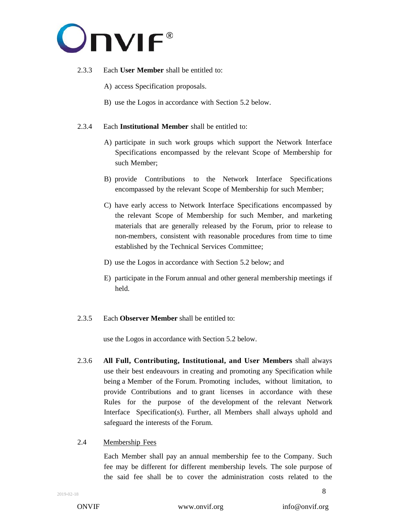

#### 2.3.3 Each **User Member** shall be entitled to:

- A) access Specification proposals.
- B) use the Logos in accordance with Section 5.2 below.

#### 2.3.4 Each **Institutional Member** shall be entitled to:

- A) participate in such work groups which support the Network Interface Specifications encompassed by the relevant Scope of Membership for such Member;
- B) provide Contributions to the Network Interface Specifications encompassed by the relevant Scope of Membership for such Member;
- C) have early access to Network Interface Specifications encompassed by the relevant Scope of Membership for such Member, and marketing materials that are generally released by the Forum, prior to release to non-members, consistent with reasonable procedures from time to time established by the Technical Services Committee;
- D) use the Logos in accordance with Section 5.2 below; and
- E) participate in the Forum annual and other general membership meetings if held.

#### 2.3.5 Each **Observer Member** shall be entitled to:

use the Logos in accordance with Section 5.2 below.

2.3.6 **All Full, Contributing, Institutional, and User Members** shall always use their best endeavours in creating and promoting any Specification while being a Member of the Forum. Promoting includes, without limitation, to provide Contributions and to grant licenses in accordance with these Rules for the purpose of the development of the relevant Network Interface Specification(s). Further, all Members shall always uphold and safeguard the interests of the Forum.

#### 2.4 Membership Fees

Each Member shall pay an annual membership fee to the Company. Such fee may be different for different membership levels. The sole purpose of the said fee shall be to cover the administration costs related to the

ONVIF [www.onvif.org](http://www.onvif.org/) [info@onvif.org](mailto:info@onvif.org)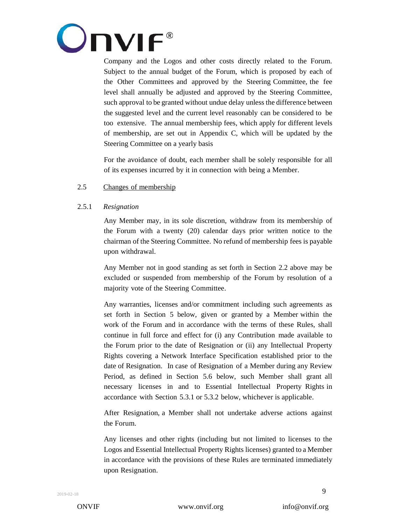

Company and the Logos and other costs directly related to the Forum. Subject to the annual budget of the Forum, which is proposed by each of the Other Committees and approved by the Steering Committee, the fee level shall annually be adjusted and approved by the Steering Committee, such approval to be granted without undue delay unless the difference between the suggested level and the current level reasonably can be considered to be too extensive. The annual membership fees, which apply for different levels of membership, are set out in Appendix C, which will be updated by the Steering Committee on a yearly basis

For the avoidance of doubt, each member shall be solely responsible for all of its expenses incurred by it in connection with being a Member.

## 2.5 Changes of membership

#### <span id="page-8-0"></span>2.5.1 *Resignation*

Any Member may, in its sole discretion, withdraw from its membership of the Forum with a twenty (20) calendar days prior written notice to the chairman of the Steering Committee. No refund of membership fees is payable upon withdrawal.

Any Member not in good standing as set forth in Section 2.2 above may be excluded or suspended from membership of the Forum by resolution of a majority vote of the Steering Committee.

Any warranties, licenses and/or commitment including such agreements as set forth in Section 5 below, given or granted by a Member within the work of the Forum and in accordance with the terms of these Rules, shall continue in full force and effect for (i) any Contribution made available to the Forum prior to the date of Resignation or (ii) any Intellectual Property Rights covering a Network Interface Specification established prior to the date of Resignation. In case of Resignation of a Member during any Review Period, as defined in Section 5.6 below, such Member shall grant all necessary licenses in and to Essential Intellectual Property Rights in accordance with Section 5.3.1 or 5.3.2 below, whichever is applicable.

After Resignation, a Member shall not undertake adverse actions against the Forum.

Any licenses and other rights (including but not limited to licenses to the Logos and Essential Intellectual Property Rights licenses) granted to a Member in accordance with the provisions of these Rules are terminated immediately upon Resignation.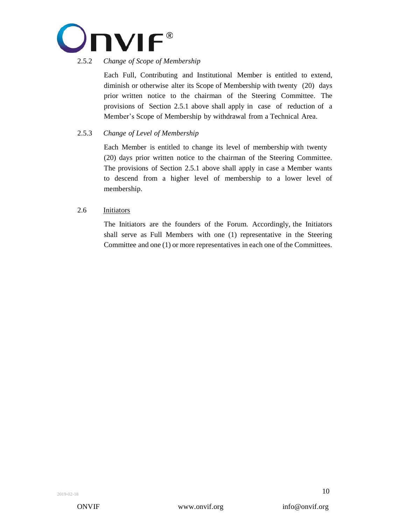

# 2.5.2 *Change of Scope of Membership*

Each Full, Contributing and Institutional Member is entitled to extend, diminish or otherwise alter its Scope of Membership with twenty (20) days prior written notice to the chairman of the Steering Committee. The provisions of Section 2.5.1 above shall apply in case of reduction of a Member's Scope of Membership by withdrawal from a Technical Area.

## 2.5.3 *Change of Level of Membership*

Each Member is entitled to change its level of membership with twenty (20) days prior written notice to the chairman of the Steering Committee. The provisions of Section 2.5.1 above shall apply in case a Member wants to descend from a higher level of membership to a lower level of membership.

## 2.6 Initiators

The Initiators are the founders of the Forum. Accordingly, the Initiators shall serve as Full Members with one (1) representative in the Steering Committee and one (1) or more representatives in each one of the Committees.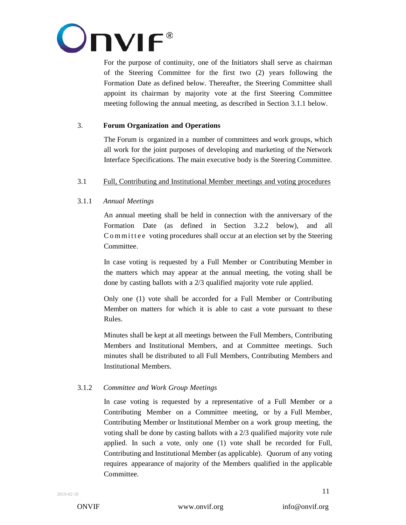

For the purpose of continuity, one of the Initiators shall serve as chairman of the Steering Committee for the first two (2) years following the Formation Date as defined below. Thereafter, the Steering Committee shall appoint its chairman by majority vote at the first Steering Committee meeting following the annual meeting, as described in Section 3.1.1 below.

## 3. **Forum Organization and Operations**

The Forum is organized in a number of committees and work groups, which all work for the joint purposes of developing and marketing of the Network Interface Specifications. The main executive body is the Steering Committee.

## 3.1 Full, Contributing and Institutional Member meetings and voting procedures

## <span id="page-10-0"></span>3.1.1 *Annual Meetings*

An annual meeting shall be held in connection with the anniversary of the Formation Date (as defined in Section 3.2.2 below), and all C o m m it t e e voting procedures shall occur at an election set by the Steering Committee.

In case voting is requested by a Full Member or Contributing Member in the matters which may appear at the annual meeting, the voting shall be done by casting ballots with a 2/3 qualified majority vote rule applied.

Only one (1) vote shall be accorded for a Full Member or Contributing Member on matters for which it is able to cast a vote pursuant to these Rules.

Minutes shall be kept at all meetings between the Full Members, Contributing Members and Institutional Members, and at Committee meetings. Such minutes shall be distributed to all Full Members, Contributing Members and Institutional Members.

## 3.1.2 *Committee and Work Group Meetings*

In case voting is requested by a representative of a Full Member or a Contributing Member on a Committee meeting, or by a Full Member, Contributing Member or Institutional Member on a work group meeting, the voting shall be done by casting ballots with a 2/3 qualified majority vote rule applied. In such a vote, only one (1) vote shall be recorded for Full, Contributing and Institutional Member (as applicable). Quorum of any voting requires appearance of majority of the Members qualified in the applicable Committee.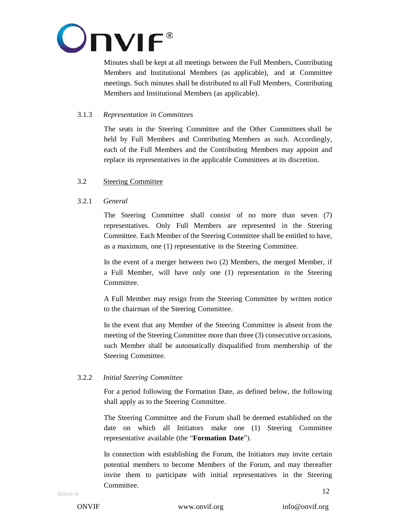

Minutes shall be kept at all meetings between the Full Members, Contributing Members and Institutional Members (as applicable), and at Committee meetings. Such minutes shall be distributed to all Full Members, Contributing Members and Institutional Members (as applicable).

## 3.1.3 *Representation in Committees*

The seats in the Steering Committee and the Other Committees shall be held by Full Members and Contributing Members as such. Accordingly, each of the Full Members and the Contributing Members may appoint and replace its representatives in the applicable Committees at its discretion.

## 3.2 Steering Committee

#### 3.2.1 *General*

The Steering Committee shall consist of no more than seven (7) representatives. Only Full Members are represented in the Steering Committee. Each Member of the Steering Committee shall be entitled to have, as a maximum, one (1) representative in the Steering Committee.

In the event of a merger between two (2) Members, the merged Member, if a Full Member, will have only one (1) representation in the Steering Committee.

A Full Member may resign from the Steering Committee by written notice to the chairman of the Steering Committee.

In the event that any Member of the Steering Committee is absent from the meeting of the Steering Committee more than three (3) consecutive occasions, such Member shall be automatically disqualified from membership of the Steering Committee.

## 3.2.2 *Initial Steering Committee*

For a period following the Formation Date, as defined below, the following shall apply as to the Steering Committee.

The Steering Committee and the Forum shall be deemed established on the date on which all Initiators make one (1) Steering Committee representative available (the "**Formation Date**").

12 In connection with establishing the Forum, the Initiators may invite certain potential members to become Members of the Forum, and may thereafter invite them to participate with initial representatives in the Steering Committee.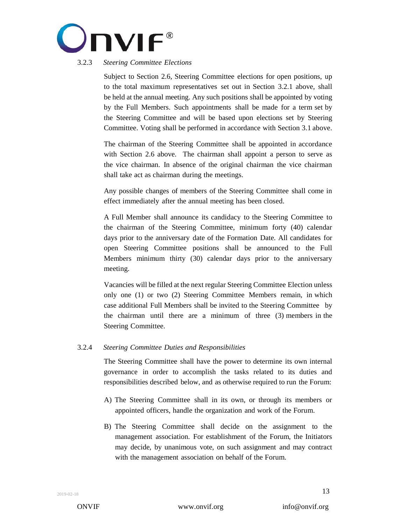

# 3.2.3 *Steering Committee Elections*

Subject to Section 2.6, Steering Committee elections for open positions, up to the total maximum representatives set out in Section 3.2.1 above, shall be held at the annual meeting. Any such positions shall be appointed by voting by the Full Members. Such appointments shall be made for a term set by the Steering Committee and will be based upon elections set by Steering Committee. Voting shall be performed in accordance with Section 3.1 above.

The chairman of the Steering Committee shall be appointed in accordance with Section 2.6 above. The chairman shall appoint a person to serve as the vice chairman. In absence of the original chairman the vice chairman shall take act as chairman during the meetings.

Any possible changes of members of the Steering Committee shall come in effect immediately after the annual meeting has been closed.

A Full Member shall announce its candidacy to the Steering Committee to the chairman of the Steering Committee, minimum forty (40) calendar days prior to the anniversary date of the Formation Date. All candidates for open Steering Committee positions shall be announced to the Full Members minimum thirty (30) calendar days prior to the anniversary meeting.

Vacancies will be filled at the next regular Steering Committee Election unless only one (1) or two (2) Steering Committee Members remain, in which case additional Full Members shall be invited to the Steering Committee by the chairman until there are a minimum of three (3) members in the Steering Committee.

## <span id="page-12-0"></span>3.2.4 *Steering Committee Duties and Responsibilities*

The Steering Committee shall have the power to determine its own internal governance in order to accomplish the tasks related to its duties and responsibilities described below, and as otherwise required to run the Forum:

- A) The Steering Committee shall in its own, or through its members or appointed officers, handle the organization and work of the Forum.
- B) The Steering Committee shall decide on the assignment to the management association. For establishment of the Forum, the Initiators may decide, by unanimous vote, on such assignment and may contract with the management association on behalf of the Forum.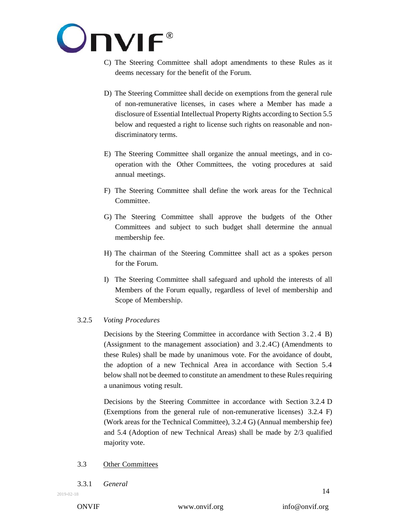

- C) The Steering Committee shall adopt amendments to these Rules as it deems necessary for the benefit of the Forum.
- D) The Steering Committee shall decide on exemptions from the general rule of non-remunerative licenses, in cases where a Member has made a disclosure of Essential Intellectual Property Rights according to Sectio[n 5.5](#page-21-0) below and requested a right to license such rights on reasonable and nondiscriminatory terms.
- E) The Steering Committee shall organize the annual meetings, and in cooperation with the Other Committees, the voting procedures at said annual meetings.
- F) The Steering Committee shall define the work areas for the Technical Committee.
- G) The Steering Committee shall approve the budgets of the Other Committees and subject to such budget shall determine the annual membership fee.
- H) The chairman of the Steering Committee shall act as a spokes person for the Forum.
- I) The Steering Committee shall safeguard and uphold the interests of all Members of the Forum equally, regardless of level of membership and Scope of Membership.

## 3.2.5 *Voting Procedures*

Decisions by the Steering Committee in accordance with Section [3.2.4](#page-12-0) B) (Assignment to the management association) and [3.2.4C](#page-12-0)) (Amendments to these Rules) shall be made by unanimous vote. For the avoidance of doubt, the adoption of a new Technical Area in accordance with Section [5.4](#page-20-0) below shall not be deemed to constitute an amendment to these Rules requiring a unanimous voting result.

Decisions by the Steering Committee in accordance with Section 3.2.4 D (Exemptions from the general rule of non-remunerative licenses) [3.2.4](#page-12-0) F) (Work areas for the Technical Committee), [3.2.4](#page-12-0) G) (Annual membership fee) and [5.4](#page-20-0) (Adoption of new Technical Areas) shall be made by 2/3 qualified majority vote.

#### 3.3 Other Committees

3.3.1 *General*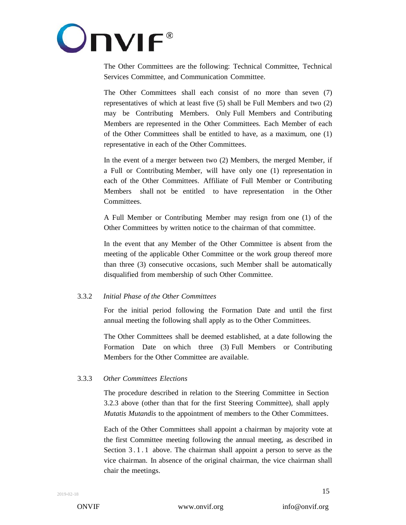

The Other Committees are the following: Technical Committee, Technical Services Committee, and Communication Committee.

The Other Committees shall each consist of no more than seven (7) representatives of which at least five (5) shall be Full Members and two (2) may be Contributing Members. Only Full Members and Contributing Members are represented in the Other Committees. Each Member of each of the Other Committees shall be entitled to have, as a maximum, one (1) representative in each of the Other Committees.

In the event of a merger between two (2) Members, the merged Member, if a Full or Contributing Member, will have only one (1) representation in each of the Other Committees. Affiliate of Full Member or Contributing Members shall not be entitled to have representation in the Other Committees.

A Full Member or Contributing Member may resign from one (1) of the Other Committees by written notice to the chairman of that committee.

In the event that any Member of the Other Committee is absent from the meeting of the applicable Other Committee or the work group thereof more than three (3) consecutive occasions, such Member shall be automatically disqualified from membership of such Other Committee.

## 3.3.2 *Initial Phase of the Other Committees*

For the initial period following the Formation Date and until the first annual meeting the following shall apply as to the Other Committees.

The Other Committees shall be deemed established, at a date following the Formation Date on which three (3) Full Members or Contributing Members for the Other Committee are available.

## 3.3.3 *Other Committees Elections*

The procedure described in relation to the Steering Committee in Section 3.2.3 above (other than that for the first Steering Committee), shall apply *Mutatis Mutandis* to the appointment of members to the Other Committees.

Each of the Other Committees shall appoint a chairman by majority vote at the first Committee meeting following the annual meeting, as described in Section 3.1.1 above. The chairman shall appoint a person to serve as the vice chairman. In absence of the original chairman, the vice chairman shall chair the meetings.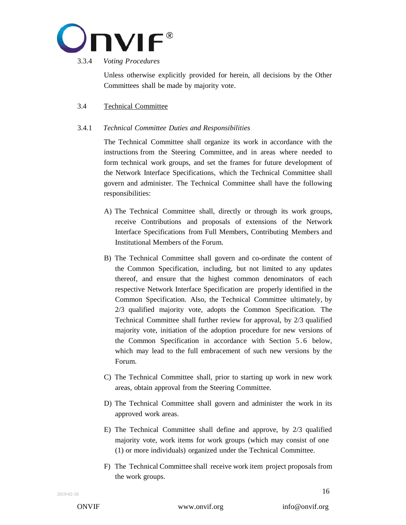

#### 3.3.4 *Voting Procedures*

Unless otherwise explicitly provided for herein, all decisions by the Other Committees shall be made by majority vote.

# 3.4 Technical Committee

## <span id="page-15-0"></span>3.4.1 *Technical Committee Duties and Responsibilities*

The Technical Committee shall organize its work in accordance with the instructions from the Steering Committee, and in areas where needed to form technical work groups, and set the frames for future development of the Network Interface Specifications, which the Technical Committee shall govern and administer. The Technical Committee shall have the following responsibilities:

- A) The Technical Committee shall, directly or through its work groups, receive Contributions and proposals of extensions of the Network Interface Specifications from Full Members, Contributing Members and Institutional Members of the Forum.
- B) The Technical Committee shall govern and co-ordinate the content of the Common Specification, including, but not limited to any updates thereof, and ensure that the highest common denominators of each respective Network Interface Specification are properly identified in the Common Specification. Also, the Technical Committee ultimately, by 2/3 qualified majority vote, adopts the Common Specification. The Technical Committee shall further review for approval, by 2/3 qualified majority vote, initiation of the adoption procedure for new versions of the Common Specification in accordance with Section [5.6](#page-22-0) below, which may lead to the full embracement of such new versions by the Forum.
- C) The Technical Committee shall, prior to starting up work in new work areas, obtain approval from the Steering Committee.
- D) The Technical Committee shall govern and administer the work in its approved work areas.
- E) The Technical Committee shall define and approve, by 2/3 qualified majority vote, work items for work groups (which may consist of one (1) or more individuals) organized under the Technical Committee.
- F) The Technical Committee shall receive work item project proposals from the work groups.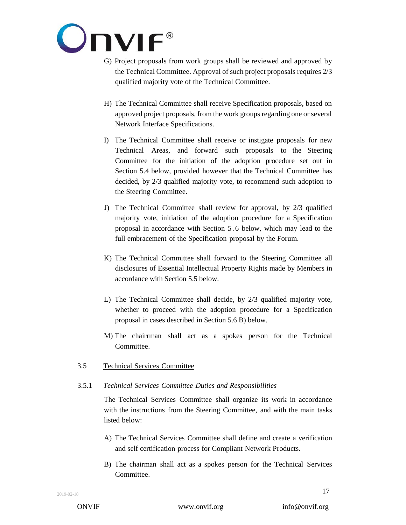

- G) Project proposals from work groups shall be reviewed and approved by the Technical Committee. Approval of such project proposals requires 2/3 qualified majority vote of the Technical Committee.
- H) The Technical Committee shall receive Specification proposals, based on approved project proposals, from the work groups regarding one or several Network Interface Specifications.
- I) The Technical Committee shall receive or instigate proposals for new Technical Areas, and forward such proposals to the Steering Committee for the initiation of the adoption procedure set out in Section 5.4 below, provided however that the Technical Committee has decided, by 2/3 qualified majority vote, to recommend such adoption to the Steering Committee.
- J) The Technical Committee shall review for approval, by 2/3 qualified majority vote, initiation of the adoption procedure for a Specification proposal in accordance with Section [5.6](#page-22-0) below, which may lead to the full embracement of the Specification proposal by the Forum.
- K) The Technical Committee shall forward to the Steering Committee all disclosures of Essential Intellectual Property Rights made by Members in accordance with Section [5.5](#page-21-0) below.
- L) The Technical Committee shall decide, by 2/3 qualified majority vote, whether to proceed with the adoption procedure for a Specification proposal in cases described in Section [5.6](#page-22-0) B) below.
- M) The chairrman shall act as a spokes person for the Technical Committee.
- 3.5 Technical Services Committee

## 3.5.1 *Technical Services Committee Duties and Responsibilities*

The Technical Services Committee shall organize its work in accordance with the instructions from the Steering Committee, and with the main tasks listed below:

- A) The Technical Services Committee shall define and create a verification and self certification process for Compliant Network Products.
- B) The chairman shall act as a spokes person for the Technical Services Committee.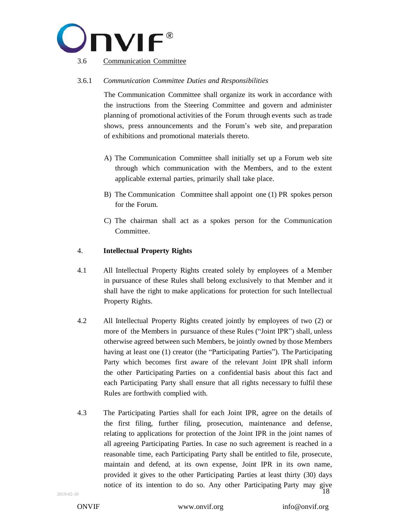

## 3.6.1 *Communication Committee Duties and Responsibilities*

The Communication Committee shall organize its work in accordance with the instructions from the Steering Committee and govern and administer planning of promotional activities of the Forum through events such as trade shows, press announcements and the Forum's web site, and preparation of exhibitions and promotional materials thereto.

- A) The Communication Committee shall initially set up a Forum web site through which communication with the Members, and to the extent applicable external parties, primarily shall take place.
- B) The Communication Committee shall appoint one (1) PR spokes person for the Forum.
- C) The chairman shall act as a spokes person for the Communication Committee.

#### 4. **Intellectual Property Rights**

- 4.1 All Intellectual Property Rights created solely by employees of a Member in pursuance of these Rules shall belong exclusively to that Member and it shall have the right to make applications for protection for such Intellectual Property Rights.
- 4.2 All Intellectual Property Rights created jointly by employees of two (2) or more of the Members in pursuance of these Rules ("Joint IPR") shall, unless otherwise agreed between such Members, be jointly owned by those Members having at least one (1) creator (the "Participating Parties"). The Participating Party which becomes first aware of the relevant Joint IPR shall inform the other Participating Parties on a confidential basis about this fact and each Participating Party shall ensure that all rights necessary to fulfil these Rules are forthwith complied with.
- 18 4.3 The Participating Parties shall for each Joint IPR, agree on the details of the first filing, further filing, prosecution, maintenance and defense, relating to applications for protection of the Joint IPR in the joint names of all agreeing Participating Parties. In case no such agreement is reached in a reasonable time, each Participating Party shall be entitled to file, prosecute, maintain and defend, at its own expense, Joint IPR in its own name, provided it gives to the other Participating Parties at least thirty (30) days notice of its intention to do so. Any other Participating Party may give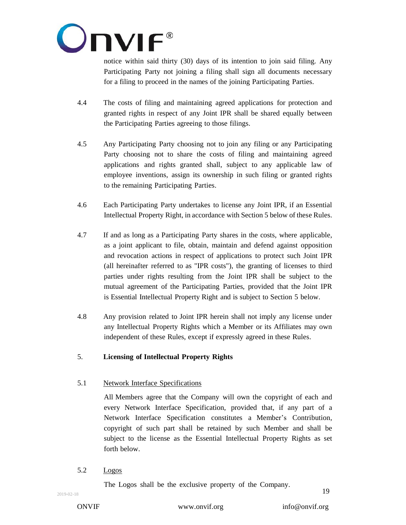

notice within said thirty (30) days of its intention to join said filing. Any Participating Party not joining a filing shall sign all documents necessary for a filing to proceed in the names of the joining Participating Parties.

- 4.4 The costs of filing and maintaining agreed applications for protection and granted rights in respect of any Joint IPR shall be shared equally between the Participating Parties agreeing to those filings.
- 4.5 Any Participating Party choosing not to join any filing or any Participating Party choosing not to share the costs of filing and maintaining agreed applications and rights granted shall, subject to any applicable law of employee inventions, assign its ownership in such filing or granted rights to the remaining Participating Parties.
- 4.6 Each Participating Party undertakes to license any Joint IPR, if an Essential Intellectual Property Right, in accordance with Section [5](#page-18-0) below of these Rules.
- 4.7 If and as long as a Participating Party shares in the costs, where applicable, as a joint applicant to file, obtain, maintain and defend against opposition and revocation actions in respect of applications to protect such Joint IPR (all hereinafter referred to as "IPR costs"), the granting of licenses to third parties under rights resulting from the Joint IPR shall be subject to the mutual agreement of the Participating Parties, provided that the Joint IPR is Essential Intellectual Property Right and is subject to Section [5](#page-18-0) below.
- 4.8 Any provision related to Joint IPR herein shall not imply any license under any Intellectual Property Rights which a Member or its Affiliates may own independent of these Rules, except if expressly agreed in these Rules.

# <span id="page-18-0"></span>5. **Licensing of Intellectual Property Rights**

# 5.1 Network Interface Specifications

All Members agree that the Company will own the copyright of each and every Network Interface Specification, provided that, if any part of a Network Interface Specification constitutes a Member's Contribution, copyright of such part shall be retained by such Member and shall be subject to the license as the Essential Intellectual Property Rights as set forth below.

5.2 Logos

The Logos shall be the exclusive property of the Company.

ONVIF [www.onvif.org](http://www.onvif.org/) [info@onvif.org](mailto:info@onvif.org)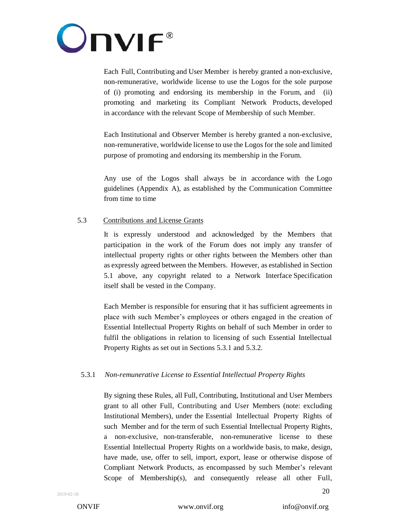

Each Full, Contributing and User Member is hereby granted a non-exclusive, non-remunerative, worldwide license to use the Logos for the sole purpose of (i) promoting and endorsing its membership in the Forum, and (ii) promoting and marketing its Compliant Network Products, developed in accordance with the relevant Scope of Membership of such Member.

Each Institutional and Observer Member is hereby granted a non-exclusive, non-remunerative, worldwide license to use the Logos for the sole and limited purpose of promoting and endorsing its membership in the Forum.

Any use of the Logos shall always be in accordance with the Logo guidelines (Appendix A), as established by the Communication Committee from time to time

## 5.3 Contributions and License Grants

It is expressly understood and acknowledged by the Members that participation in the work of the Forum does not imply any transfer of intellectual property rights or other rights between the Members other than as expressly agreed between the Members. However, as established in Section 5.1 above, any copyright related to a Network Interface Specification itself shall be vested in the Company.

Each Member is responsible for ensuring that it has sufficient agreements in place with such Member's employees or others engaged in the creation of Essential Intellectual Property Rights on behalf of such Member in order to fulfil the obligations in relation to licensing of such Essential Intellectual Property Rights as set out in Sections 5.3.1 and 5.3.2.

#### 5.3.1 *Non-remunerative License to Essential Intellectual Property Rights*

By signing these Rules, all Full, Contributing, Institutional and User Members grant to all other Full, Contributing and User Members (note: excluding Institutional Members), under the Essential Intellectual Property Rights of such Member and for the term of such Essential Intellectual Property Rights, a non-exclusive, non-transferable, non-remunerative license to these Essential Intellectual Property Rights on a worldwide basis, to make, design, have made, use, offer to sell, import, export, lease or otherwise dispose of Compliant Network Products, as encompassed by such Member's relevant Scope of Membership(s), and consequently release all other Full,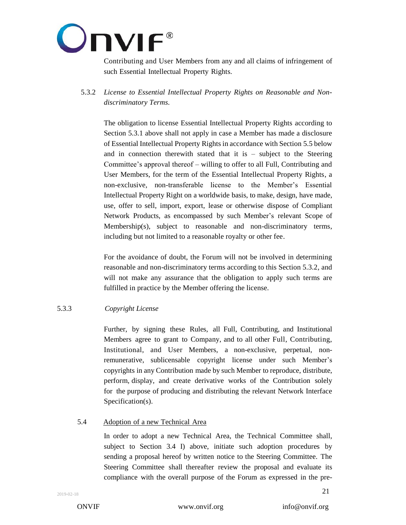

Contributing and User Members from any and all claims of infringement of such Essential Intellectual Property Rights.

5.3.2 *License to Essential Intellectual Property Rights on Reasonable and Nondiscriminatory Terms.*

The obligation to license Essential Intellectual Property Rights according to Section 5.3.1 above shall not apply in case a Member has made a disclosure of Essential Intellectual Property Rights in accordance with Section [5.5](#page-21-0) below and in connection therewith stated that it is  $-$  subject to the Steering Committee's approval thereof – willing to offer to all Full, Contributing and User Members, for the term of the Essential Intellectual Property Rights, a non-exclusive, non-transferable license to the Member's Essential Intellectual Property Right on a worldwide basis, to make, design, have made, use, offer to sell, import, export, lease or otherwise dispose of Compliant Network Products, as encompassed by such Member's relevant Scope of Membership(s), subject to reasonable and non-discriminatory terms, including but not limited to a reasonable royalty or other fee.

For the avoidance of doubt, the Forum will not be involved in determining reasonable and non-discriminatory terms according to this Section 5.3.2, and will not make any assurance that the obligation to apply such terms are fulfilled in practice by the Member offering the license.

## 5.3.3 *Copyright License*

Further, by signing these Rules, all Full, Contributing, and Institutional Members agree to grant to Company, and to all other Full, Contributing, Institutional, and User Members, a non-exclusive, perpetual, nonremunerative, sublicensable copyright license under such Member's copyrights in any Contribution made by such Member to reproduce, distribute, perform, display, and create derivative works of the Contribution solely for the purpose of producing and distributing the relevant Network Interface Specification(s).

#### <span id="page-20-0"></span>5.4 Adoption of a new Technical Area

In order to adopt a new Technical Area, the Technical Committee shall, subject to Section 3.4 I) above, initiate such adoption procedures by sending a proposal hereof by written notice to the Steering Committee. The Steering Committee shall thereafter review the proposal and evaluate its compliance with the overall purpose of the Forum as expressed in the pre-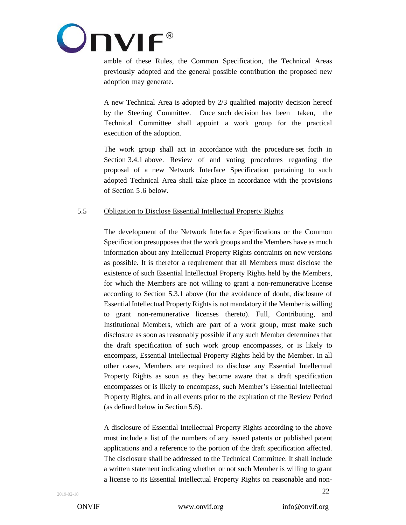

amble of these Rules, the Common Specification, the Technical Areas previously adopted and the general possible contribution the proposed new adoption may generate.

A new Technical Area is adopted by 2/3 qualified majority decision hereof by the Steering Committee. Once such decision has been taken, the Technical Committee shall appoint a work group for the practical execution of the adoption.

The work group shall act in accordance with the procedure set forth in Section [3.4.1](#page-15-0) above. Review of and voting procedures regarding the proposal of a new Network Interface Specification pertaining to such adopted Technical Area shall take place in accordance with the provisions of Section [5.6](#page-22-0) below.

# <span id="page-21-0"></span>5.5 Obligation to Disclose Essential Intellectual Property Rights

The development of the Network Interface Specifications or the Common Specification presupposes that the work groups and the Members have as much information about any Intellectual Property Rights contraints on new versions as possible. It is therefor a requirement that all Members must disclose the existence of such Essential Intellectual Property Rights held by the Members, for which the Members are not willing to grant a non-remunerative license according to Section 5.3.1 above (for the avoidance of doubt, disclosure of Essential Intellectual Property Rights is not mandatory if the Member is willing to grant non-remunerative licenses thereto). Full, Contributing, and Institutional Members, which are part of a work group, must make such disclosure as soon as reasonably possible if any such Member determines that the draft specification of such work group encompasses, or is likely to encompass, Essential Intellectual Property Rights held by the Member. In all other cases, Members are required to disclose any Essential Intellectual Property Rights as soon as they become aware that a draft specification encompasses or is likely to encompass, such Member's Essential Intellectual Property Rights, and in all events prior to the expiration of the Review Period (as defined below in Sectio[n 5.6\)](#page-22-0).

A disclosure of Essential Intellectual Property Rights according to the above must include a list of the numbers of any issued patents or published patent applications and a reference to the portion of the draft specification affected. The disclosure shall be addressed to the Technical Committee. It shall include a written statement indicating whether or not such Member is willing to grant a license to its Essential Intellectual Property Rights on reasonable and non-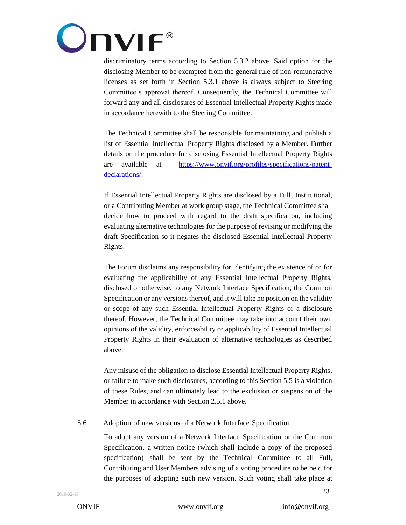

discriminatory terms according to Section 5.3.2 above. Said option for the disclosing Member to be exempted from the general rule of non-remunerative licenses as set forth in Section 5.3.1 above is always subject to Steering Committee's approval thereof. Consequently, the Technical Committee will forward any and all disclosures of Essential Intellectual Property Rights made in accordance herewith to the Steering Committee.

The Technical Committee shall be responsible for maintaining and publish a list of Essential Intellectual Property Rights disclosed by a Member. Further details on the procedure for disclosing Essential Intellectual Property Rights are available at [https://www.onvif.org/profiles/specifications/patent](https://www.onvif.org/profiles/specifications/patent-declarations/)[declarations/.](https://www.onvif.org/profiles/specifications/patent-declarations/)

If Essential Intellectual Property Rights are disclosed by a Full, Institutional, or a Contributing Member at work group stage, the Technical Committee shall decide how to proceed with regard to the draft specification, including evaluating alternative technologies for the purpose of revising or modifying the draft Specification so it negates the disclosed Essential Intellectual Property Rights.

The Forum disclaims any responsibility for identifying the existence of or for evaluating the applicability of any Essential Intellectual Property Rights, disclosed or otherwise, to any Network Interface Specification, the Common Specification or any versions thereof, and it will take no position on the validity or scope of any such Essential Intellectual Property Rights or a disclosure thereof. However, the Technical Committee may take into account their own opinions of the validity, enforceability or applicability of Essential Intellectual Property Rights in their evaluation of alternative technologies as described above.

Any misuse of the obligation to disclose Essential Intellectual Property Rights, or failure to make such disclosures, according to this Section 5.5 is a violation of these Rules, and can ultimately lead to the exclusion or suspension of the Member in accordance with Section [2.5.1](#page-8-0) above.

#### <span id="page-22-0"></span>5.6 Adoption of new versions of a Network Interface Specification

To adopt any version of a Network Interface Specification or the Common Specification, a written notice (which shall include a copy of the proposed specification) shall be sent by the Technical Committee to all Full, Contributing and User Members advising of a voting procedure to be held for the purposes of adopting such new version. Such voting shall take place at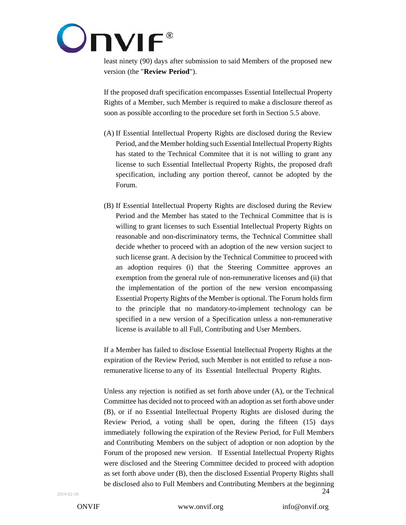

least ninety (90) days after submission to said Members of the proposed new version (the "**Review Period**").

If the proposed draft specification encompasses Essential Intellectual Property Rights of a Member, such Member is required to make a disclosure thereof as soon as possible according to the procedure set forth in Section 5.5 above.

- (A) If Essential Intellectual Property Rights are disclosed during the Review Period, and the Member holding such Essential Intellectual Property Rights has stated to the Technical Commitee that it is not willing to grant any license to such Essential Intellectual Property Rights, the proposed draft specification, including any portion thereof, cannot be adopted by the Forum.
- (B) If Essential Intellectual Property Rights are disclosed during the Review Period and the Member has stated to the Technical Committee that is is willing to grant licenses to such Essential Intellectual Property Rights on reasonable and non-discriminatory terms, the Technical Committee shall decide whether to proceed with an adoption of the new version sucject to such license grant. A decision by the Technical Committee to proceed with an adoption requires (i) that the Steering Committee approves an exemption from the general rule of non-remunerative licenses and (ii) that the implementation of the portion of the new version encompassing Essential Property Rights of the Member is optional. The Forum holds firm to the principle that no mandatory-to-implement technology can be specified in a new version of a Specification unless a non-remunerative license is available to all Full, Contributing and User Members.

If a Member has failed to disclose Essential Intellectual Property Rights at the expiration of the Review Period, such Member is not entitled to refuse a nonremunerative license to any of its Essential Intellectual Property Rights.

24 Unless any rejection is notified as set forth above under (A), or the Technical Committee has decided not to proceed with an adoption as set forth above under (B), or if no Essential Intellectual Property Rights are dislosed during the Review Period, a voting shall be open, during the fifteen (15) days immediately following the expiration of the Review Period, for Full Members and Contributing Members on the subject of adoption or non adoption by the Forum of the proposed new version. If Essential Intellectual Property Rights were disclosed and the Steering Committee decided to proceed with adoption as set forth above under (B), then the disclosed Essential Property Rights shall be disclosed also to Full Members and Contributing Members at the beginning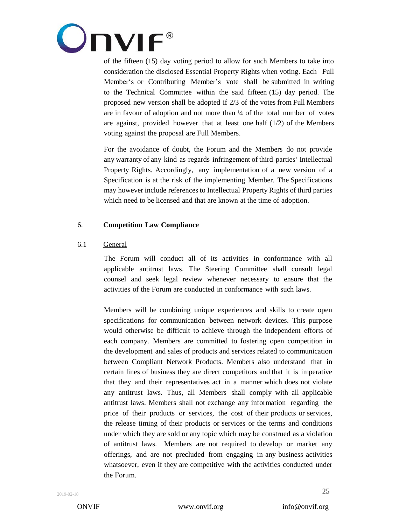

of the fifteen (15) day voting period to allow for such Members to take into consideration the disclosed Essential Property Rights when voting. Each Full Member's or Contributing Member's vote shall be submitted in writing to the Technical Committee within the said fifteen (15) day period. The proposed new version shall be adopted if 2/3 of the votes from Full Members are in favour of adoption and not more than ¼ of the total number of votes are against, provided however that at least one half (1/2) of the Members voting against the proposal are Full Members.

For the avoidance of doubt, the Forum and the Members do not provide any warranty of any kind as regards infringement of third parties' Intellectual Property Rights. Accordingly, any implementation of a new version of a Specification is at the risk of the implementing Member. The Specifications may however include references to Intellectual Property Rights of third parties which need to be licensed and that are known at the time of adoption.

#### 6. **Competition Law Compliance**

## 6.1 General

The Forum will conduct all of its activities in conformance with all applicable antitrust laws. The Steering Committee shall consult legal counsel and seek legal review whenever necessary to ensure that the activities of the Forum are conducted in conformance with such laws.

Members will be combining unique experiences and skills to create open specifications for communication between network devices. This purpose would otherwise be difficult to achieve through the independent efforts of each company. Members are committed to fostering open competition in the development and sales of products and services related to communication between Compliant Network Products. Members also understand that in certain lines of business they are direct competitors and that it is imperative that they and their representatives act in a manner which does not violate any antitrust laws. Thus, all Members shall comply with all applicable antitrust laws. Members shall not exchange any information regarding the price of their products or services, the cost of their products or services, the release timing of their products or services or the terms and conditions under which they are sold or any topic which may be construed as a violation of antitrust laws. Members are not required to develop or market any offerings, and are not precluded from engaging in any business activities whatsoever, even if they are competitive with the activities conducted under the Forum.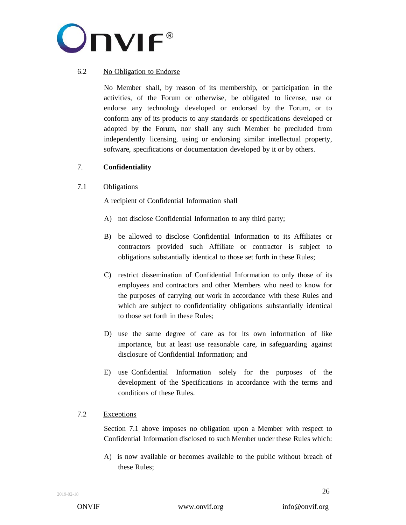

## 6.2 No Obligation to Endorse

No Member shall, by reason of its membership, or participation in the activities, of the Forum or otherwise, be obligated to license, use or endorse any technology developed or endorsed by the Forum, or to conform any of its products to any standards or specifications developed or adopted by the Forum, nor shall any such Member be precluded from independently licensing, using or endorsing similar intellectual property, software, specifications or documentation developed by it or by others.

## 7. **Confidentiality**

#### 7.1 Obligations

A recipient of Confidential Information shall

- A) not disclose Confidential Information to any third party;
- B) be allowed to disclose Confidential Information to its Affiliates or contractors provided such Affiliate or contractor is subject to obligations substantially identical to those set forth in these Rules;
- C) restrict dissemination of Confidential Information to only those of its employees and contractors and other Members who need to know for the purposes of carrying out work in accordance with these Rules and which are subject to confidentiality obligations substantially identical to those set forth in these Rules;
- D) use the same degree of care as for its own information of like importance, but at least use reasonable care, in safeguarding against disclosure of Confidential Information; and
- E) use Confidential Information solely for the purposes of the development of the Specifications in accordance with the terms and conditions of these Rules.

#### 7.2 Exceptions

Section 7.1 above imposes no obligation upon a Member with respect to Confidential Information disclosed to such Member under these Rules which:

A) is now available or becomes available to the public without breach of these Rules;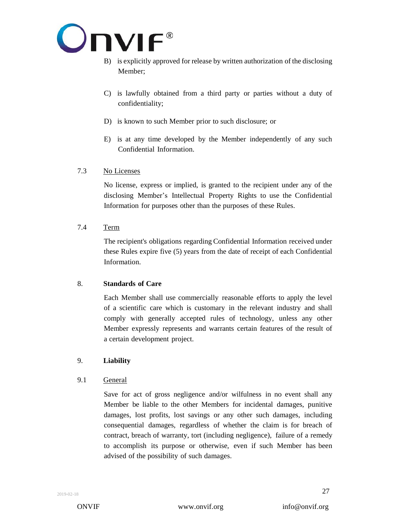

- B) is explicitly approved for release by written authorization of the disclosing Member;
- C) is lawfully obtained from a third party or parties without a duty of confidentiality;
- D) is known to such Member prior to such disclosure; or
- E) is at any time developed by the Member independently of any such Confidential Information.

# 7.3 No Licenses

No license, express or implied, is granted to the recipient under any of the disclosing Member's Intellectual Property Rights to use the Confidential Information for purposes other than the purposes of these Rules.

# 7.4 Term

The recipient's obligations regarding Confidential Information received under these Rules expire five (5) years from the date of receipt of each Confidential Information.

## 8. **Standards of Care**

Each Member shall use commercially reasonable efforts to apply the level of a scientific care which is customary in the relevant industry and shall comply with generally accepted rules of technology, unless any other Member expressly represents and warrants certain features of the result of a certain development project.

# 9. **Liability**

## 9.1 General

Save for act of gross negligence and/or wilfulness in no event shall any Member be liable to the other Members for incidental damages, punitive damages, lost profits, lost savings or any other such damages, including consequential damages, regardless of whether the claim is for breach of contract, breach of warranty, tort (including negligence), failure of a remedy to accomplish its purpose or otherwise, even if such Member has been advised of the possibility of such damages.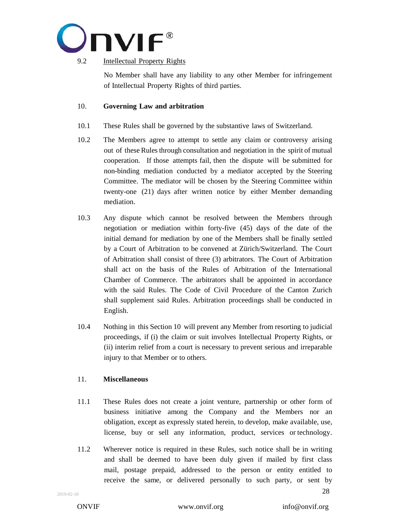

## 9.2 **Intellectual Property Rights**

No Member shall have any liability to any other Member for infringement of Intellectual Property Rights of third parties.

## 10. **Governing Law and arbitration**

- 10.1 These Rules shall be governed by the substantive laws of Switzerland.
- 10.2 The Members agree to attempt to settle any claim or controversy arising out of these Rules through consultation and negotiation in the spirit of mutual cooperation. If those attempts fail, then the dispute will be submitted for non-binding mediation conducted by a mediator accepted by the Steering Committee. The mediator will be chosen by the Steering Committee within twenty-one (21) days after written notice by either Member demanding mediation.
- 10.3 Any dispute which cannot be resolved between the Members through negotiation or mediation within forty-five (45) days of the date of the initial demand for mediation by one of the Members shall be finally settled by a Court of Arbitration to be convened at Zürich/Switzerland. The Court of Arbitration shall consist of three (3) arbitrators. The Court of Arbitration shall act on the basis of the Rules of Arbitration of the International Chamber of Commerce. The arbitrators shall be appointed in accordance with the said Rules. The Code of Civil Procedure of the Canton Zurich shall supplement said Rules. Arbitration proceedings shall be conducted in English.
- 10.4 Nothing in this Section 10 will prevent any Member from resorting to judicial proceedings, if (i) the claim or suit involves Intellectual Property Rights, or (ii) interim relief from a court is necessary to prevent serious and irreparable injury to that Member or to others.

## 11. **Miscellaneous**

- 11.1 These Rules does not create a joint venture, partnership or other form of business initiative among the Company and the Members nor an obligation, except as expressly stated herein, to develop, make available, use, license, buy or sell any information, product, services or technology.
- <span id="page-27-0"></span>28 11.2 Wherever notice is required in these Rules, such notice shall be in writing and shall be deemed to have been duly given if mailed by first class mail, postage prepaid, addressed to the person or entity entitled to receive the same, or delivered personally to such party, or sent by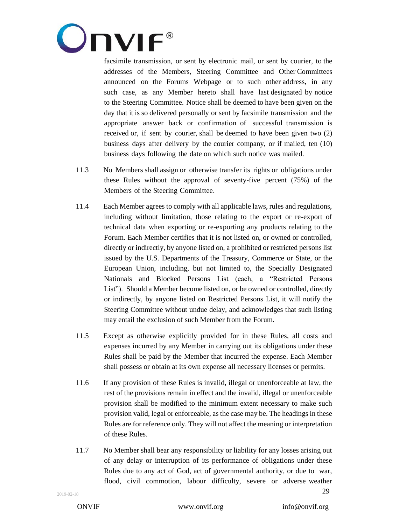

facsimile transmission, or sent by electronic mail, or sent by courier, to the addresses of the Members, Steering Committee and Other Committees announced on the Forums Webpage or to such other address, in any such case, as any Member hereto shall have last designated by notice to the Steering Committee. Notice shall be deemed to have been given on the day that it is so delivered personally or sent by facsimile transmission and the appropriate answer back or confirmation of successful transmission is received or, if sent by courier, shall be deemed to have been given two (2) business days after delivery by the courier company, or if mailed, ten (10) business days following the date on which such notice was mailed.

- 11.3 No Members shall assign or otherwise transfer its rights or obligations under these Rules without the approval of seventy-five percent (75%) of the Members of the Steering Committee.
- 11.4 Each Member agrees to comply with all applicable laws, rules and regulations, including without limitation, those relating to the export or re-export of technical data when exporting or re-exporting any products relating to the Forum. Each Member certifies that it is not listed on, or owned or controlled, directly or indirectly, by anyone listed on, a prohibited or restricted persons list issued by the U.S. Departments of the Treasury, Commerce or State, or the European Union, including, but not limited to, the Specially Designated Nationals and Blocked Persons List (each, a "Restricted Persons List"). Should a Member become listed on, or be owned or controlled, directly or indirectly, by anyone listed on Restricted Persons List, it will notify the Steering Committee without undue delay, and acknowledges that such listing may entail the exclusion of such Member from the Forum.
- 11.5 Except as otherwise explicitly provided for in these Rules, all costs and expenses incurred by any Member in carrying out its obligations under these Rules shall be paid by the Member that incurred the expense. Each Member shall possess or obtain at its own expense all necessary licenses or permits.
- 11.6 If any provision of these Rules is invalid, illegal or unenforceable at law, the rest of the provisions remain in effect and the invalid, illegal or unenforceable provision shall be modified to the minimum extent necessary to make such provision valid, legal or enforceable, as the case may be. The headings in these Rules are for reference only. They will not affect the meaning or interpretation of these Rules.
- 29 11.7 No Member shall bear any responsibility or liability for any losses arising out of any delay or interruption of its performance of obligations under these Rules due to any act of God, act of governmental authority, or due to war, flood, civil commotion, labour difficulty, severe or adverse weather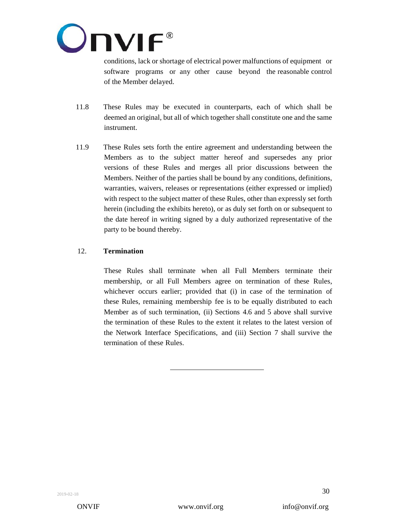

conditions, lack or shortage of electrical power malfunctions of equipment or software programs or any other cause beyond the reasonable control of the Member delayed.

- 11.8 These Rules may be executed in counterparts, each of which shall be deemed an original, but all of which together shall constitute one and the same instrument.
- 11.9 These Rules sets forth the entire agreement and understanding between the Members as to the subject matter hereof and supersedes any prior versions of these Rules and merges all prior discussions between the Members. Neither of the parties shall be bound by any conditions, definitions, warranties, waivers, releases or representations (either expressed or implied) with respect to the subject matter of these Rules, other than expressly set forth herein (including the exhibits hereto), or as duly set forth on or subsequent to the date hereof in writing signed by a duly authorized representative of the party to be bound thereby.

## 12. **Termination**

These Rules shall terminate when all Full Members terminate their membership, or all Full Members agree on termination of these Rules, whichever occurs earlier; provided that (i) in case of the termination of these Rules, remaining membership fee is to be equally distributed to each Member as of such termination, (ii) Sections 4.6 and 5 above shall survive the termination of these Rules to the extent it relates to the latest version of the Network Interface Specifications, and (iii) Section 7 shall survive the termination of these Rules.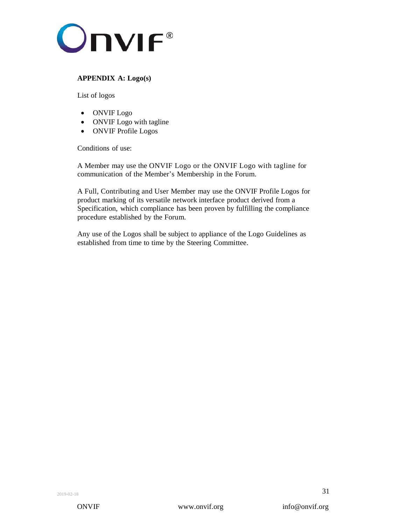

# **APPENDIX A: Logo(s)**

List of logos

- ONVIF Logo
- ONVIF Logo with tagline
- ONVIF Profile Logos

Conditions of use:

A Member may use the ONVIF Logo or the ONVIF Logo with tagline for communication of the Member's Membership in the Forum.

A Full, Contributing and User Member may use the ONVIF Profile Logos for product marking of its versatile network interface product derived from a Specification, which compliance has been proven by fulfilling the compliance procedure established by the Forum.

Any use of the Logos shall be subject to appliance of the Logo Guidelines as established from time to time by the Steering Committee.